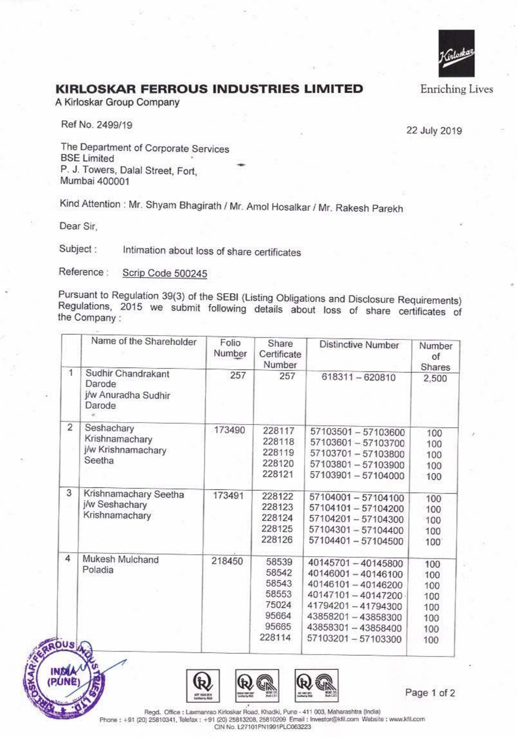

## **KIRLOSKAR FERROUS INDUSTRIES LIMITED**

A Kirloskar Group Company

Ref No. 2499/19

22 July 2019

The Department of Corporate Services **BSE Limited** P. J. Towers, Dalal Street, Fort, Mumbai 400001

Kind Attention : Mr. Shyam Bhagirath / Mr. Amol Hosalkar / Mr. Rakesh Parekh

-

Dear Sir,

Subject : Intimation about loss of share certificates

Reference : Scrip Code 500245

Pursuant to Regulation 39(3) of the SEBI (Listing Obligations and Disclosure Requirements) Regulations, 2015 we submit following details about loss of share certificates of the Company :

|                | Name of the Shareholder                                       | Folio<br>Number | Share<br>Certificate<br>Number                              | <b>Distinctive Number</b>                                                                                                                       | Number<br>of<br>Shares                               |
|----------------|---------------------------------------------------------------|-----------------|-------------------------------------------------------------|-------------------------------------------------------------------------------------------------------------------------------------------------|------------------------------------------------------|
| $\overline{1}$ | Sudhir Chandrakant<br>Darode<br>j/w Anuradha Sudhir<br>Darode | 257             | 257                                                         | 618311-620810                                                                                                                                   | 2,500                                                |
| $\overline{2}$ | Seshachary<br>Krishnamachary<br>j/w Krishnamachary<br>Seetha  | 173490          | 228117<br>228118<br>228119<br>228120<br>228121              | 57103501 - 57103600<br>57103601 - 57103700<br>57103701-57103800<br>57103801-57103900<br>57103901-57104000                                       | 100<br>100<br>100<br>100<br>100                      |
| 3              | Krishnamachary Seetha<br>j/w Seshachary<br>Krishnamachary     | 173491          | 228122<br>228123<br>228124<br>228125<br>228126              | 57104001-57104100<br>57104101 - 57104200<br>57104201-57104300<br>57104301-57104400<br>57104401-57104500                                         | 100<br>100<br>100<br>100<br>100                      |
| 4              | Mukesh Mulchand<br>Poladia                                    | 218450          | 58539<br>58542<br>58543<br>58553<br>75024<br>95664<br>95665 | 40145701-40145800<br>40146001-40146100<br>40146101-40146200<br>40147101-40147200<br>41794201-41794300<br>43858201-43858300<br>43858301-43858400 | 100<br>100<br>100<br>100<br>100<br>100<br>100<br>100 |
| 50s            |                                                               |                 | 228114                                                      | 57103201-57103300                                                                                                                               |                                                      |





Page 1 of 2

Regd. Office : Laxmanrao Kirloskar Road, Khadki, Pune - 411 003, Maharashtra (India) Phone : +91 (20) 25810341, Telefax : +91 (20) 25813208, 25810209 Email : Investor@kfil.com Website : www.kfil.com CIN No. L27101PN1991PI.C063223